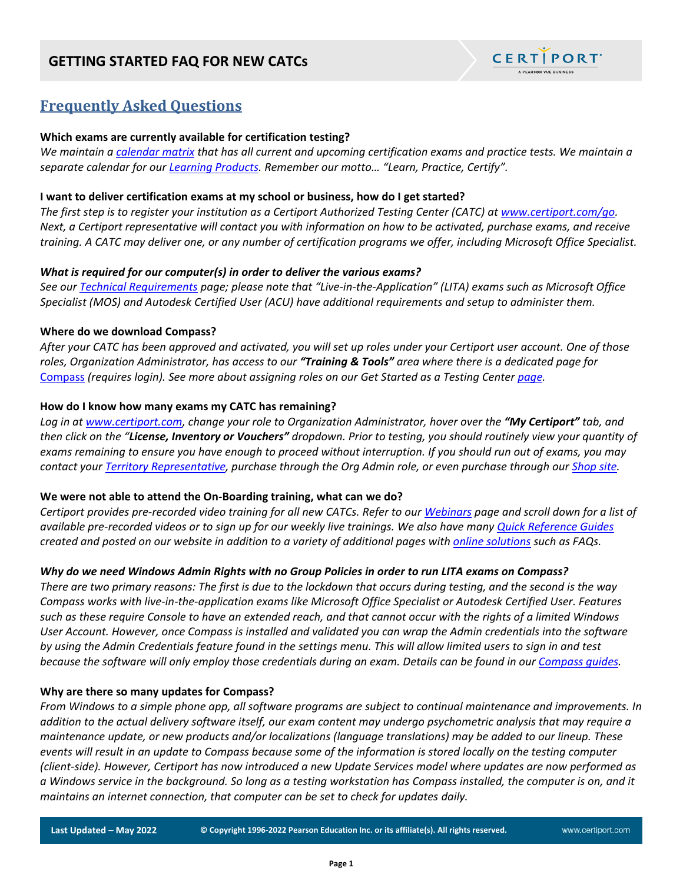## **GETTING STARTED FAQ FOR NEW CATCs**



# **Frequently Asked Questions**

### **Which exams are currently available for certification testing?**

*We maintain a [calendar matrix](https://certiport.pearsonvue.com/Educator-resources/Exam-details/Exam-releases) that has all current and upcoming certification exams and practice tests. We maintain a separate calendar for our [Learning Products.](https://certiport.pearsonvue.com/Educator-resources/Exam-details/learning-products) Remember our motto… "Learn, Practice, Certify".* 

### **I want to deliver certification exams at my school or business, how do I get started?**

*The first step is to register your institution as a Certiport Authorized Testing Center (CATC) at [www.certiport.com/go.](http://www.certiport.com/go) Next, a Certiport representative will contact you with information on how to be activated, purchase exams, and receive training. A CATC may deliver one, or any number of certification programs we offer, including Microsoft Office Specialist.*

## *What is required for our computer(s) in order to deliver the various exams?*

*See our [Technical Requirements](https://certiport.pearsonvue.com/Support/Technical-requirements) page; please note that "Live-in-the-Application" (LITA) exams such as Microsoft Office Specialist (MOS) and Autodesk Certified User (ACU) have additional requirements and setup to administer them.*

## **Where do we download Compass?**

*After your CATC has been approved and activated, you will set up roles under your Certiport user account. One of those roles, Organization Administrator, has access to our "Training & Tools" area where there is a dedicated page for*  [Compass](http://portal.certiport.com/Portal/desktopdefault.aspx?tabid=787&roleid=23) *(requires login). See more about assigning roles on our Get Started as a Testing Center [page.](https://certiport.pearsonvue.com/Educator-resources/Get-started)*

## **How do I know how many exams my CATC has remaining?**

*Log in at [www.certiport.com,](https://portal.certiport.com/Login) change your role to Organization Administrator, hover over the "My Certiport" tab, and then click on the "License, Inventory or Vouchers" dropdown. Prior to testing, you should routinely view your quantity of exams remaining to ensure you have enough to proceed without interruption. If you should run out of exams, you may contact your [Territory Representative,](https://certiport.pearsonvue.com/Contact-Us.aspx) purchase through the Org Admin role, or even purchase through our [Shop site.](http://shop.certiport.com/)*

#### **We were not able to attend the On-Boarding training, what can we do?**

*Certiport provides pre-recorded video training for all new CATCs. Refer to ou[r Webinars](https://certiport.pearsonvue.com/CATCs/Training-sessions) page and scroll down for a list of available pre-recorded videos or to sign up for our weekly live trainings. We also have many [Quick Reference Guides](https://certiport.pearsonvue.com/CATCs/Quick-reference-guides) created and posted on our website in addition to a variety of additional pages with [online solutions](https://certiport.pearsonvue.com/Support.aspx) such as FAQs.*

## *Why do we need Windows Admin Rights with no Group Policies in order to run LITA exams on Compass?*

*There are two primary reasons: The first is due to the lockdown that occurs during testing, and the second is the way Compass works with live-in-the-application exams like Microsoft Office Specialist or Autodesk Certified User. Features such as these require Console to have an extended reach, and that cannot occur with the rights of a limited Windows User Account. However, once Compass is installed and validated you can wrap the Admin credentials into the software by using the Admin Credentials feature found in the settings menu. This will allow limited users to sign in and test because the software will only employ those credentials during an exam. Details can be found in our [Compass guides.](https://certiport.pearsonvue.com/Support/Quick-reference-guides)*

#### **Why are there so many updates for Compass?**

*From Windows to a simple phone app, all software programs are subject to continual maintenance and improvements. In addition to the actual delivery software itself, our exam content may undergo psychometric analysis that may require a maintenance update, or new products and/or localizations (language translations) may be added to our lineup. These events will result in an update to Compass because some of the information is stored locally on the testing computer (client-side). However, Certiport has now introduced a new Update Services model where updates are now performed as a Windows service in the background. So long as a testing workstation has Compass installed, the computer is on, and it maintains an internet connection, that computer can be set to check for updates daily.* 

**Last Updated – May 2022 © Copyright 1996-2022 Pearson Education Inc. or its affiliate(s). All rights reserved.**